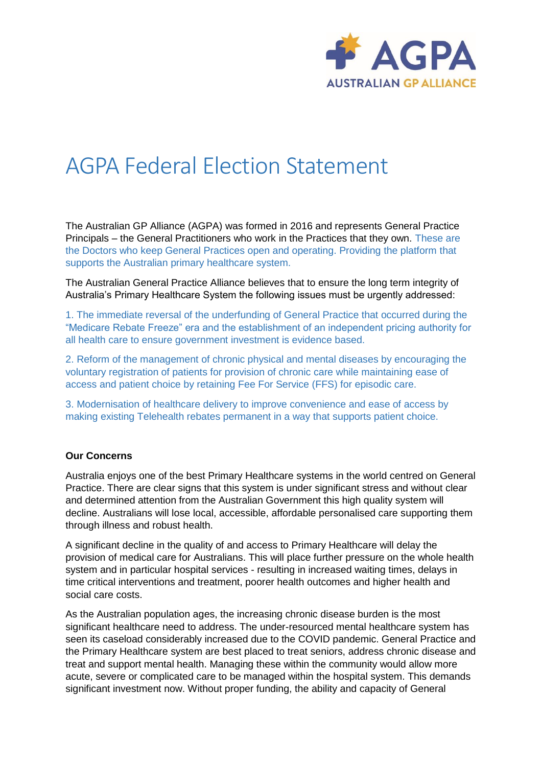

# AGPA Federal Election Statement

The Australian GP Alliance (AGPA) was formed in 2016 and represents General Practice Principals – the General Practitioners who work in the Practices that they own. These are the Doctors who keep General Practices open and operating. Providing the platform that supports the Australian primary healthcare system.

The Australian General Practice Alliance believes that to ensure the long term integrity of Australia's Primary Healthcare System the following issues must be urgently addressed:

1. The immediate reversal of the underfunding of General Practice that occurred during the "Medicare Rebate Freeze" era and the establishment of an independent pricing authority for all health care to ensure government investment is evidence based.

2. Reform of the management of chronic physical and mental diseases by encouraging the voluntary registration of patients for provision of chronic care while maintaining ease of access and patient choice by retaining Fee For Service (FFS) for episodic care.

3. Modernisation of healthcare delivery to improve convenience and ease of access by making existing Telehealth rebates permanent in a way that supports patient choice.

#### **Our Concerns**

Australia enjoys one of the best Primary Healthcare systems in the world centred on General Practice. There are clear signs that this system is under significant stress and without clear and determined attention from the Australian Government this high quality system will decline. Australians will lose local, accessible, affordable personalised care supporting them through illness and robust health.

A significant decline in the quality of and access to Primary Healthcare will delay the provision of medical care for Australians. This will place further pressure on the whole health system and in particular hospital services - resulting in increased waiting times, delays in time critical interventions and treatment, poorer health outcomes and higher health and social care costs.

As the Australian population ages, the increasing chronic disease burden is the most significant healthcare need to address. The under-resourced mental healthcare system has seen its caseload considerably increased due to the COVID pandemic. General Practice and the Primary Healthcare system are best placed to treat seniors, address chronic disease and treat and support mental health. Managing these within the community would allow more acute, severe or complicated care to be managed within the hospital system. This demands significant investment now. Without proper funding, the ability and capacity of General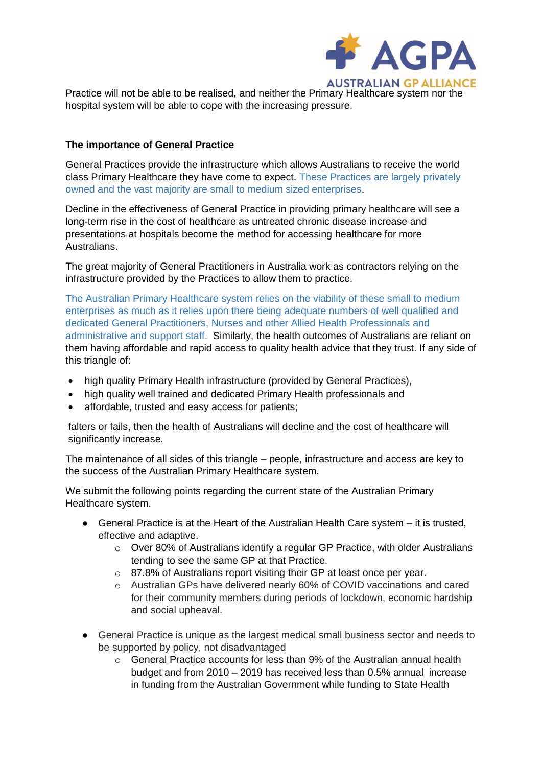

Practice will not be able to be realised, and neither the Primary Healthcare system nor the hospital system will be able to cope with the increasing pressure.

### **The importance of General Practice**

General Practices provide the infrastructure which allows Australians to receive the world class Primary Healthcare they have come to expect. These Practices are largely privately owned and the vast majority are small to medium sized enterprises.

Decline in the effectiveness of General Practice in providing primary healthcare will see a long-term rise in the cost of healthcare as untreated chronic disease increase and presentations at hospitals become the method for accessing healthcare for more Australians.

The great majority of General Practitioners in Australia work as contractors relying on the infrastructure provided by the Practices to allow them to practice.

The Australian Primary Healthcare system relies on the viability of these small to medium enterprises as much as it relies upon there being adequate numbers of well qualified and dedicated General Practitioners, Nurses and other Allied Health Professionals and administrative and support staff. Similarly, the health outcomes of Australians are reliant on them having affordable and rapid access to quality health advice that they trust. If any side of this triangle of:

- high quality Primary Health infrastructure (provided by General Practices),
- high quality well trained and dedicated Primary Health professionals and
- affordable, trusted and easy access for patients;

falters or fails, then the health of Australians will decline and the cost of healthcare will significantly increase.

The maintenance of all sides of this triangle – people, infrastructure and access are key to the success of the Australian Primary Healthcare system.

We submit the following points regarding the current state of the Australian Primary Healthcare system.

- General Practice is at the Heart of the Australian Health Care system it is trusted, effective and adaptive.
	- o Over 80% of Australians identify a regular GP Practice, with older Australians tending to see the same GP at that Practice.
	- o 87.8% of Australians report visiting their GP at least once per year.
	- o Australian GPs have delivered nearly 60% of COVID vaccinations and cared for their community members during periods of lockdown, economic hardship and social upheaval.
- General Practice is unique as the largest medical small business sector and needs to be supported by policy, not disadvantaged
	- o General Practice accounts for less than 9% of the Australian annual health budget and from 2010 – 2019 has received less than 0.5% annual increase in funding from the Australian Government while funding to State Health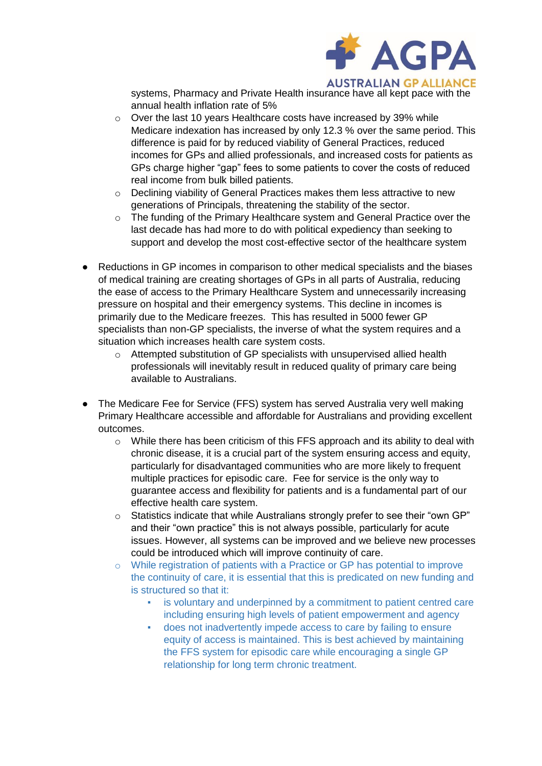

systems, Pharmacy and Private Health insurance have all kept pace with the annual health inflation rate of 5%

- o Over the last 10 years Healthcare costs have increased by 39% while Medicare indexation has increased by only 12.3 % over the same period. This difference is paid for by reduced viability of General Practices, reduced incomes for GPs and allied professionals, and increased costs for patients as GPs charge higher "gap" fees to some patients to cover the costs of reduced real income from bulk billed patients.
- o Declining viability of General Practices makes them less attractive to new generations of Principals, threatening the stability of the sector.
- o The funding of the Primary Healthcare system and General Practice over the last decade has had more to do with political expediency than seeking to support and develop the most cost-effective sector of the healthcare system
- Reductions in GP incomes in comparison to other medical specialists and the biases of medical training are creating shortages of GPs in all parts of Australia, reducing the ease of access to the Primary Healthcare System and unnecessarily increasing pressure on hospital and their emergency systems. This decline in incomes is primarily due to the Medicare freezes. This has resulted in 5000 fewer GP specialists than non-GP specialists, the inverse of what the system requires and a situation which increases health care system costs.
	- o Attempted substitution of GP specialists with unsupervised allied health professionals will inevitably result in reduced quality of primary care being available to Australians.
- The Medicare Fee for Service (FFS) system has served Australia very well making Primary Healthcare accessible and affordable for Australians and providing excellent outcomes.
	- $\circ$  While there has been criticism of this FFS approach and its ability to deal with chronic disease, it is a crucial part of the system ensuring access and equity, particularly for disadvantaged communities who are more likely to frequent multiple practices for episodic care. Fee for service is the only way to guarantee access and flexibility for patients and is a fundamental part of our effective health care system.
	- o Statistics indicate that while Australians strongly prefer to see their "own GP" and their "own practice" this is not always possible, particularly for acute issues. However, all systems can be improved and we believe new processes could be introduced which will improve continuity of care.
	- o While registration of patients with a Practice or GP has potential to improve the continuity of care, it is essential that this is predicated on new funding and is structured so that it:
		- is voluntary and underpinned by a commitment to patient centred care including ensuring high levels of patient empowerment and agency
		- does not inadvertently impede access to care by failing to ensure equity of access is maintained. This is best achieved by maintaining the FFS system for episodic care while encouraging a single GP relationship for long term chronic treatment.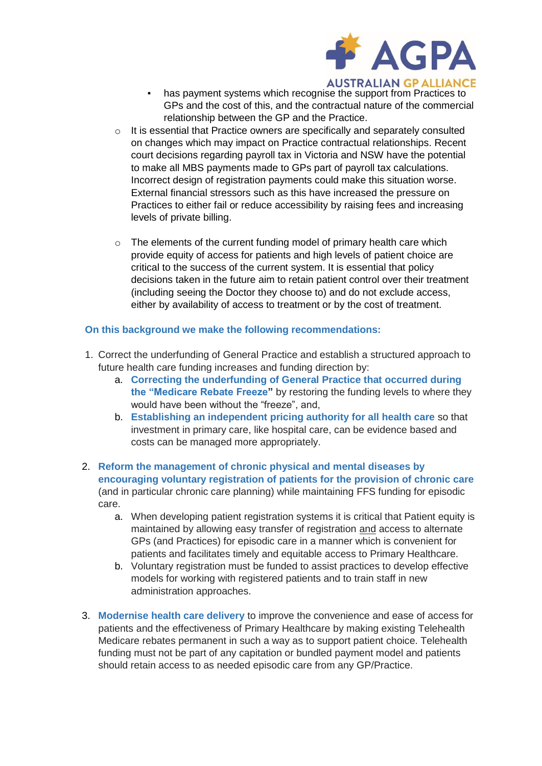

- has payment systems which recognise the support from Practices to GPs and the cost of this, and the contractual nature of the commercial relationship between the GP and the Practice.
- o It is essential that Practice owners are specifically and separately consulted on changes which may impact on Practice contractual relationships. Recent court decisions regarding payroll tax in Victoria and NSW have the potential to make all MBS payments made to GPs part of payroll tax calculations. Incorrect design of registration payments could make this situation worse. External financial stressors such as this have increased the pressure on Practices to either fail or reduce accessibility by raising fees and increasing levels of private billing.
- $\circ$  The elements of the current funding model of primary health care which provide equity of access for patients and high levels of patient choice are critical to the success of the current system. It is essential that policy decisions taken in the future aim to retain patient control over their treatment (including seeing the Doctor they choose to) and do not exclude access, either by availability of access to treatment or by the cost of treatment.

## **On this background we make the following recommendations:**

- 1. Correct the underfunding of General Practice and establish a structured approach to future health care funding increases and funding direction by:
	- a. **Correcting the underfunding of General Practice that occurred during the "Medicare Rebate Freeze"** by restoring the funding levels to where they would have been without the "freeze", and,
	- b. **Establishing an independent pricing authority for all health care** so that investment in primary care, like hospital care, can be evidence based and costs can be managed more appropriately.
- 2. **Reform the management of chronic physical and mental diseases by encouraging voluntary registration of patients for the provision of chronic care** (and in particular chronic care planning) while maintaining FFS funding for episodic care.
	- a. When developing patient registration systems it is critical that Patient equity is maintained by allowing easy transfer of registration and access to alternate GPs (and Practices) for episodic care in a manner which is convenient for patients and facilitates timely and equitable access to Primary Healthcare.
	- b. Voluntary registration must be funded to assist practices to develop effective models for working with registered patients and to train staff in new administration approaches.
- 3. **Modernise health care delivery** to improve the convenience and ease of access for patients and the effectiveness of Primary Healthcare by making existing Telehealth Medicare rebates permanent in such a way as to support patient choice. Telehealth funding must not be part of any capitation or bundled payment model and patients should retain access to as needed episodic care from any GP/Practice.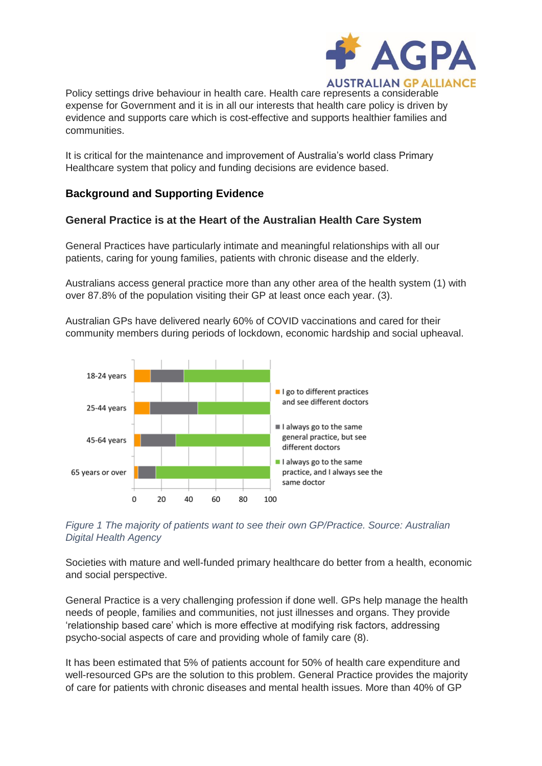

Policy settings drive behaviour in health care. Health care represents a considerable expense for Government and it is in all our interests that health care policy is driven by evidence and supports care which is cost-effective and supports healthier families and communities.

It is critical for the maintenance and improvement of Australia's world class Primary Healthcare system that policy and funding decisions are evidence based.

## **Background and Supporting Evidence**

## **General Practice is at the Heart of the Australian Health Care System**

General Practices have particularly intimate and meaningful relationships with all our patients, caring for young families, patients with chronic disease and the elderly.

Australians access general practice more than any other area of the health system (1) with over 87.8% of the population visiting their GP at least once each year. (3).

Australian GPs have delivered nearly 60% of COVID vaccinations and cared for their community members during periods of lockdown, economic hardship and social upheaval.





Societies with mature and well-funded primary healthcare do better from a health, economic and social perspective.

General Practice is a very challenging profession if done well. GPs help manage the health needs of people, families and communities, not just illnesses and organs. They provide 'relationship based care' which is more effective at modifying risk factors, addressing psycho-social aspects of care and providing whole of family care (8).

It has been estimated that 5% of patients account for 50% of health care expenditure and well-resourced GPs are the solution to this problem. General Practice provides the majority of care for patients with chronic diseases and mental health issues. More than 40% of GP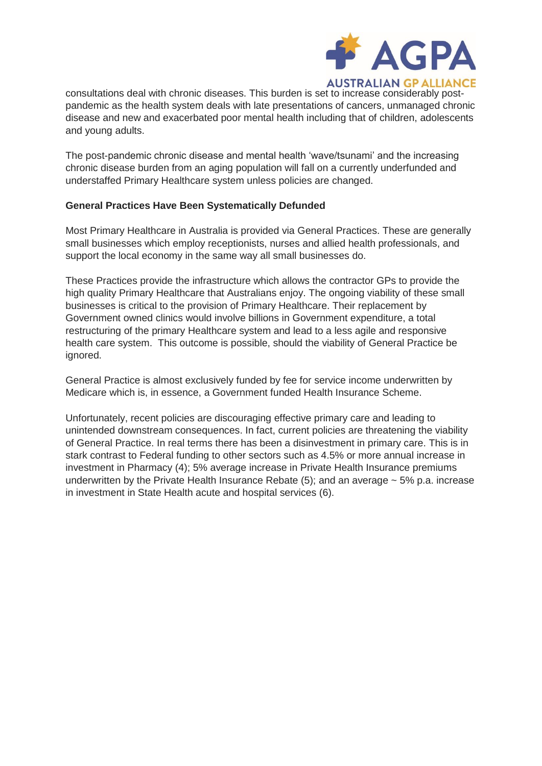

consultations deal with chronic diseases. This burden is set to increase considerably postpandemic as the health system deals with late presentations of cancers, unmanaged chronic disease and new and exacerbated poor mental health including that of children, adolescents and young adults.

The post-pandemic chronic disease and mental health 'wave/tsunami' and the increasing chronic disease burden from an aging population will fall on a currently underfunded and understaffed Primary Healthcare system unless policies are changed.

#### **General Practices Have Been Systematically Defunded**

Most Primary Healthcare in Australia is provided via General Practices. These are generally small businesses which employ receptionists, nurses and allied health professionals, and support the local economy in the same way all small businesses do.

These Practices provide the infrastructure which allows the contractor GPs to provide the high quality Primary Healthcare that Australians enjoy. The ongoing viability of these small businesses is critical to the provision of Primary Healthcare. Their replacement by Government owned clinics would involve billions in Government expenditure, a total restructuring of the primary Healthcare system and lead to a less agile and responsive health care system. This outcome is possible, should the viability of General Practice be ignored.

General Practice is almost exclusively funded by fee for service income underwritten by Medicare which is, in essence, a Government funded Health Insurance Scheme.

Unfortunately, recent policies are discouraging effective primary care and leading to unintended downstream consequences. In fact, current policies are threatening the viability of General Practice. In real terms there has been a disinvestment in primary care. This is in stark contrast to Federal funding to other sectors such as 4.5% or more annual increase in investment in Pharmacy (4); 5% average increase in Private Health Insurance premiums underwritten by the Private Health Insurance Rebate (5); and an average  $\sim$  5% p.a. increase in investment in State Health acute and hospital services (6).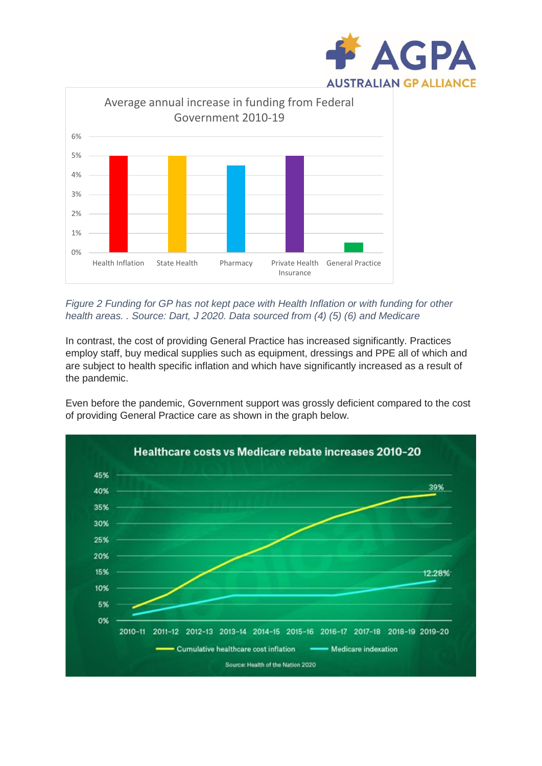



## *Figure 2 Funding for GP has not kept pace with Health Inflation or with funding for other health areas. . Source: Dart, J 2020. Data sourced from (4) (5) (6) and Medicare*

In contrast, the cost of providing General Practice has increased significantly. Practices employ staff, buy medical supplies such as equipment, dressings and PPE all of which and are subject to health specific inflation and which have significantly increased as a result of the pandemic.

Even before the pandemic, Government support was grossly deficient compared to the cost of providing General Practice care as shown in the graph below.

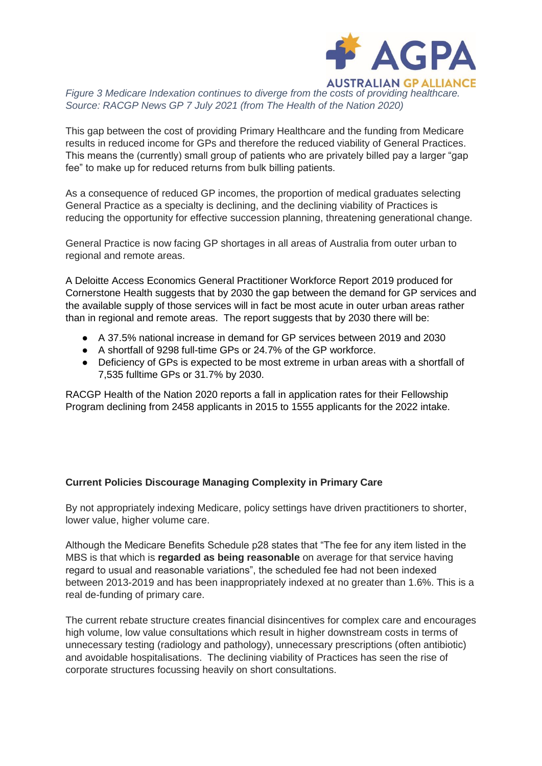

*Figure 3 Medicare Indexation continues to diverge from the costs of providing healthcare. Source: RACGP News GP 7 July 2021 (from The Health of the Nation 2020)*

This gap between the cost of providing Primary Healthcare and the funding from Medicare results in reduced income for GPs and therefore the reduced viability of General Practices. This means the (currently) small group of patients who are privately billed pay a larger "gap fee" to make up for reduced returns from bulk billing patients.

As a consequence of reduced GP incomes, the proportion of medical graduates selecting General Practice as a specialty is declining, and the declining viability of Practices is reducing the opportunity for effective succession planning, threatening generational change.

General Practice is now facing GP shortages in all areas of Australia from outer urban to regional and remote areas.

A Deloitte Access Economics General Practitioner Workforce Report 2019 produced for Cornerstone Health suggests that by 2030 the gap between the demand for GP services and the available supply of those services will in fact be most acute in outer urban areas rather than in regional and remote areas. The report suggests that by 2030 there will be:

- A 37.5% national increase in demand for GP services between 2019 and 2030
- A shortfall of 9298 full-time GPs or 24.7% of the GP workforce.
- Deficiency of GPs is expected to be most extreme in urban areas with a shortfall of 7,535 fulltime GPs or 31.7% by 2030.

RACGP Health of the Nation 2020 reports a fall in application rates for their Fellowship Program declining from 2458 applicants in 2015 to 1555 applicants for the 2022 intake.

## **Current Policies Discourage Managing Complexity in Primary Care**

By not appropriately indexing Medicare, policy settings have driven practitioners to shorter, lower value, higher volume care.

Although the Medicare Benefits Schedule p28 states that "The fee for any item listed in the MBS is that which is **regarded as being reasonable** on average for that service having regard to usual and reasonable variations", the scheduled fee had not been indexed between 2013-2019 and has been inappropriately indexed at no greater than 1.6%. This is a real de-funding of primary care.

The current rebate structure creates financial disincentives for complex care and encourages high volume, low value consultations which result in higher downstream costs in terms of unnecessary testing (radiology and pathology), unnecessary prescriptions (often antibiotic) and avoidable hospitalisations. The declining viability of Practices has seen the rise of corporate structures focussing heavily on short consultations.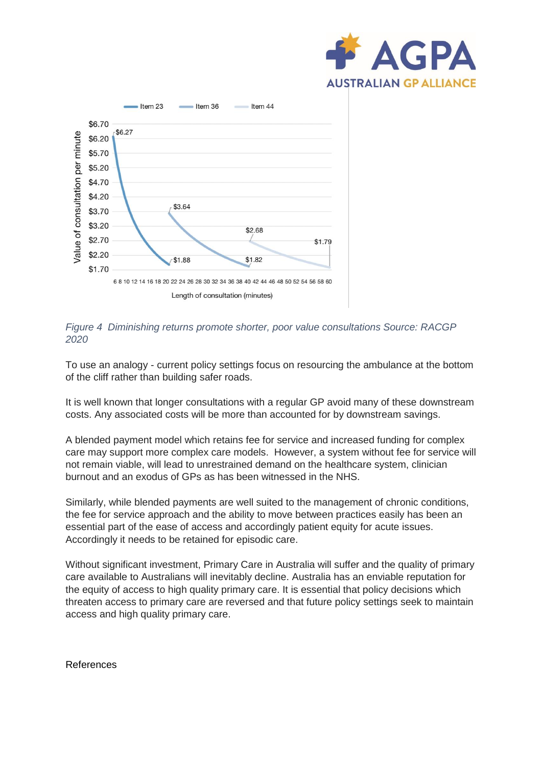



## *Figure 4 Diminishing returns promote shorter, poor value consultations Source: RACGP 2020*

To use an analogy - current policy settings focus on resourcing the ambulance at the bottom of the cliff rather than building safer roads.

It is well known that longer consultations with a regular GP avoid many of these downstream costs. Any associated costs will be more than accounted for by downstream savings.

A blended payment model which retains fee for service and increased funding for complex care may support more complex care models. However, a system without fee for service will not remain viable, will lead to unrestrained demand on the healthcare system, clinician burnout and an exodus of GPs as has been witnessed in the NHS.

Similarly, while blended payments are well suited to the management of chronic conditions, the fee for service approach and the ability to move between practices easily has been an essential part of the ease of access and accordingly patient equity for acute issues. Accordingly it needs to be retained for episodic care.

Without significant investment, Primary Care in Australia will suffer and the quality of primary care available to Australians will inevitably decline. Australia has an enviable reputation for the equity of access to high quality primary care. It is essential that policy decisions which threaten access to primary care are reversed and that future policy settings seek to maintain access and high quality primary care.

References